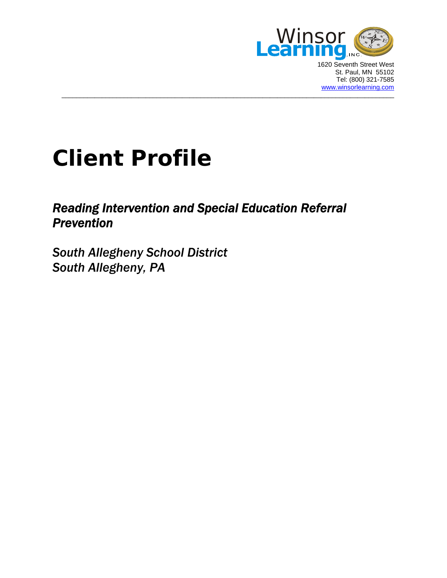

1620 Seventh Street West St. Paul, MN 55102 Tel: (800) 321-7585 [www.winsorlearning.com](http://www.winsorlearning.com/)

# **Client Profile**

## *Reading Intervention and Special Education Referral Prevention*

 $\_$  . The contribution of the contribution of the contribution of the contribution of the contribution of the contribution of the contribution of the contribution of the contribution of the contribution of the contributio

*South Allegheny School District South Allegheny, PA*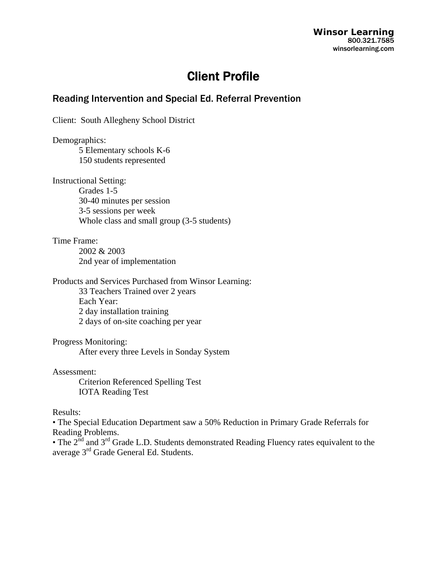**Winsor Learning**  800.321.7585 winsorlearning.com

## Client Profile

### Reading Intervention and Special Ed. Referral Prevention

Client: South Allegheny School District

Demographics: 5 Elementary schools K-6 150 students represented

Instructional Setting: Grades 1-5 30-40 minutes per session 3-5 sessions per week Whole class and small group (3-5 students)

Time Frame:

 2002 & 2003 2nd year of implementation

Products and Services Purchased from Winsor Learning:

33 Teachers Trained over 2 years Each Year: 2 day installation training 2 days of on-site coaching per year

Progress Monitoring:

After every three Levels in Sonday System

#### Assessment:

 Criterion Referenced Spelling Test IOTA Reading Test

#### Results:

• The Special Education Department saw a 50% Reduction in Primary Grade Referrals for Reading Problems.

• The 2<sup>nd</sup> and 3<sup>rd</sup> Grade L.D. Students demonstrated Reading Fluency rates equivalent to the average 3rd Grade General Ed. Students.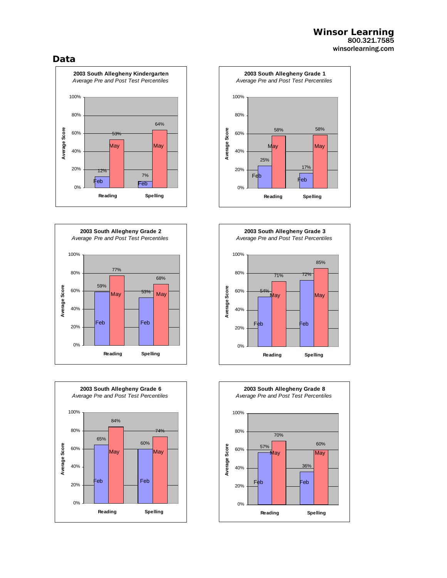#### **Winsor Learning**  800.321.7585 winsorlearning.com

#### **Data**











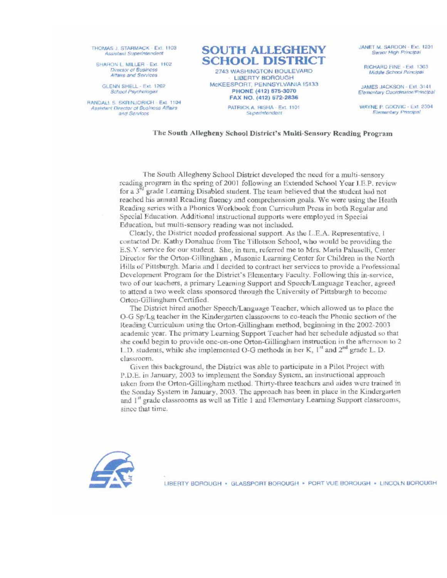THOMAS J. STARMACK - Ext. 1103 Assistant Superintendent

SHARON L. MILLER - Ext. 1102 Director of Business Attairs and Services

GLENN SHELL - Ext. 1202 **School Psychologist** 

RANDALL S. SKRINJORICH - Ext. 1104 Assistant Director of Business Affairs and Services



McKEESPORT, PENNSYLVANIA 15133 PHONE (412) 675-3070 FAX NO. (412) 572-2836 PATRICK A. RISHA - Ext. 1101 Superintendent

JANET M. SARDON - Ext. 1201 Senior High Principal

**BICHARD FINE - Ext. 1303** Middle School Principal

JAMES JACKSON - Ext. 3141 Elementary Coordinator/Principal

WAYNE P. GDOVIC - Ext. 2304 **Elementary Principal** 

The South Allegheny School District's Multi-Sensory Reading Program

The South Allegheny School District developed the need for a multi-sensory reading program in the spring of 2001 following an Extended School Year I.E.P. review for a  $3^{n}$  grade Learning Disabled student. The team believed that the student had not reached his annual Reading fluency and comprehension goals. We were using the Heath Reading series with a Phonics Workbook from Curriculum Press in both Regular and Special Education. Additional instructional supports were employed in Special Education, but multi-sensory reading was not included.

Clearly, the District needed professional support. As the L.E.A. Representative, I contacted Dr. Kathy Donahue from The Tillotson School, who would be providing the E.S.Y. service for our student. She, in turn, referred me to Mrs. Maria Paluselli, Center Director for the Orton-Gillingham, Masonic Learning Center for Children in the North Hills of Pittsburgh. Maria and I decided to contract her services to provide a Professional Development Program for the District's Elementary Faculty, Following this in-service, two of our teachers, a primary Learning Support and Speech/Language Teacher, agreed to attend a two week class sponsored through the University of Pittsburgh to become Orton-Gillingham Certified.

The District hired another Speech/Language Teacher, which allowed us to place the O-G Sp/Lg teacher in the Kindergarten classrooms to co-teach the Phonic section of the Reading Curriculum using the Orton-Gillingham method, beginning in the 2002-2003 academic year. The primary Learning Support Teacher had her schedule adjusted so that she could begin to provide one-on-one Orton-Gillingham instruction in the afternoon to 2 1. D. students, while she implemented O-G methods in her K, 1<sup>st</sup> and 2<sup>nd</sup> grade L. D. classroom.

Given this background, the District was able to participate in a Pilot Project with P.D.E. in January, 2003 to implement the Sonday System, an instructional approach taken from the Orton-Gillingham method. Thirty-three teachers and aides were trained in the Sonday System in January, 2003. The approach has been in place in the Kindergarten and 1<sup>st</sup> grade classrooms as well as Title 1 and Elementary Learning Support classrooms, since that time.